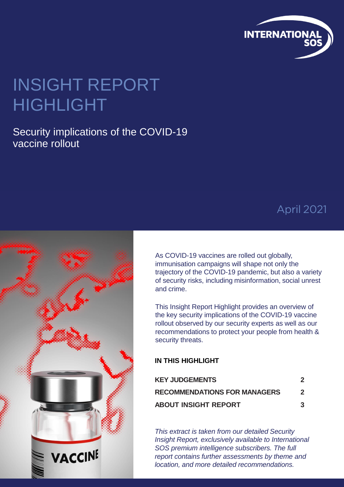

## INSIGHT REPORT HIGHLIGHT

#### Security implications of the COVID-19 vaccine rollout

### April 2021



As COVID-19 vaccines are rolled out globally, immunisation campaigns will shape not only the trajectory of the COVID-19 pandemic, but also a variety of security risks, including misinformation, social unrest and crime.

This Insight Report Highlight provides an overview of the key security implications of the COVID-19 vaccine rollout observed by our security experts as well as our recommendations to protect your people from health & security threats.

#### **IN THIS HIGHLIGHT**

| <b>KEY JUDGEMENTS</b>               |                  |
|-------------------------------------|------------------|
| <b>RECOMMENDATIONS FOR MANAGERS</b> | $\boldsymbol{z}$ |
| <b>ABOUT INSIGHT REPORT</b>         | 3                |

*This extract is taken from our detailed Security Insight Report, exclusively available to International SOS premium intelligence subscribers. The full report contains further assessments by theme and location, and more detailed recommendations.*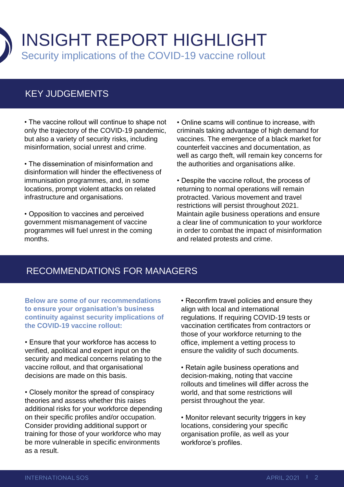

#### KEY JUDGEMENTS

• The vaccine rollout will continue to shape not only the trajectory of the COVID-19 pandemic, but also a variety of security risks, including misinformation, social unrest and crime.

• The dissemination of misinformation and disinformation will hinder the effectiveness of immunisation programmes, and, in some locations, prompt violent attacks on related infrastructure and organisations.

• Opposition to vaccines and perceived government mismanagement of vaccine programmes will fuel unrest in the coming months.

• Online scams will continue to increase, with criminals taking advantage of high demand for vaccines. The emergence of a black market for counterfeit vaccines and documentation, as well as cargo theft, will remain key concerns for the authorities and organisations alike.

• Despite the vaccine rollout, the process of returning to normal operations will remain protracted. Various movement and travel restrictions will persist throughout 2021. Maintain agile business operations and ensure a clear line of communication to your workforce in order to combat the impact of misinformation and related protests and crime.

#### RECOMMENDATIONS FOR MANAGERS

**Below are some of our recommendations to ensure your organisation's business continuity against security implications of the COVID-19 vaccine rollout:**

• Ensure that your workforce has access to verified, apolitical and expert input on the security and medical concerns relating to the vaccine rollout, and that organisational decisions are made on this basis.

• Closely monitor the spread of conspiracy theories and assess whether this raises additional risks for your workforce depending on their specific profiles and/or occupation. Consider providing additional support or training for those of your workforce who may be more vulnerable in specific environments as a result.

• Reconfirm travel policies and ensure they align with local and international regulations. If requiring COVID-19 tests or vaccination certificates from contractors or those of your workforce returning to the office, implement a vetting process to ensure the validity of such documents.

• Retain agile business operations and decision-making, noting that vaccine rollouts and timelines will differ across the world, and that some restrictions will persist throughout the year.

• Monitor relevant security triggers in key locations, considering your specific organisation profile, as well as your workforce's profiles.